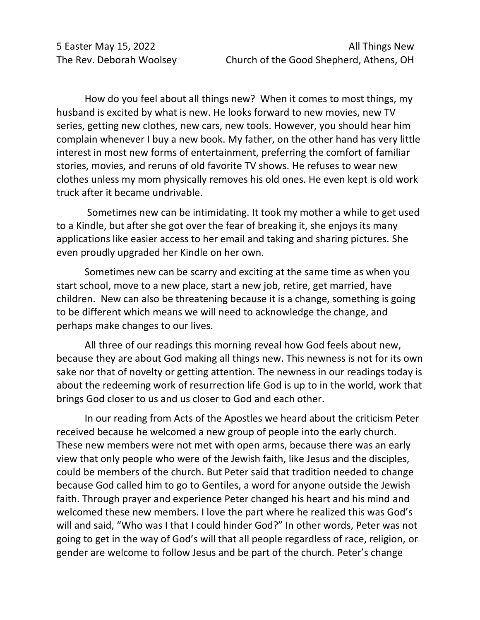How do you feel about all things new? When it comes to most things, my husband is excited by what is new. He looks forward to new movies, new TV series, getting new clothes, new cars, new tools. However, you should hear him complain whenever I buy a new book. My father, on the other hand has very little interest in most new forms of entertainment, preferring the comfort of familiar stories, movies, and reruns of old favorite TV shows. He refuses to wear new clothes unless my mom physically removes his old ones. He even kept is old work truck after it became undrivable.

Sometimes new can be intimidating. It took my mother a while to get used to a Kindle, but after she got over the fear of breaking it, she enjoys its many applications like easier access to her email and taking and sharing pictures. She even proudly upgraded her Kindle on her own.

Sometimes new can be scarry and exciting at the same time as when you start school, move to a new place, start a new job, retire, get married, have children. New can also be threatening because it is a change, something is going to be different which means we will need to acknowledge the change, and perhaps make changes to our lives.

All three of our readings this morning reveal how God feels about new, because they are about God making all things new. This newness is not for its own sake nor that of novelty or getting attention. The newness in our readings today is about the redeeming work of resurrection life God is up to in the world, work that brings God closer to us and us closer to God and each other.

In our reading from Acts of the Apostles we heard about the criticism Peter received because he welcomed a new group of people into the early church. These new members were not met with open arms, because there was an early view that only people who were of the Jewish faith, like Jesus and the disciples, could be members of the church. But Peter said that tradition needed to change because God called him to go to Gentiles, a word for anyone outside the Jewish faith. Through prayer and experience Peter changed his heart and his mind and welcomed these new members. I love the part where he realized this was God's will and said, "Who was I that I could hinder God?" In other words, Peter was not going to get in the way of God's will that all people regardless of race, religion, or gender are welcome to follow Jesus and be part of the church. Peter's change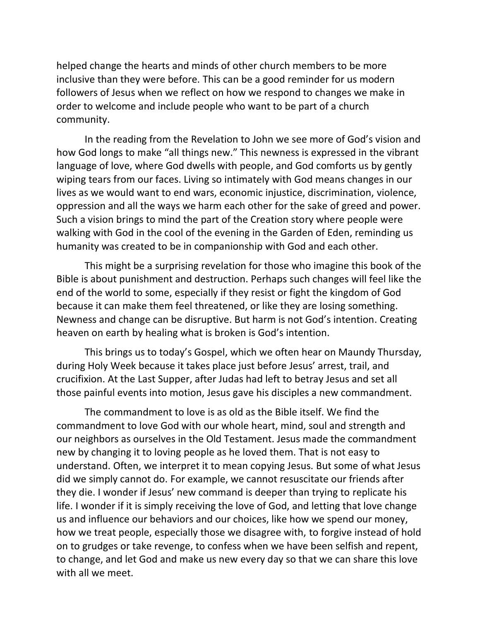helped change the hearts and minds of other church members to be more inclusive than they were before. This can be a good reminder for us modern followers of Jesus when we reflect on how we respond to changes we make in order to welcome and include people who want to be part of a church community.

In the reading from the Revelation to John we see more of God's vision and how God longs to make "all things new." This newness is expressed in the vibrant language of love, where God dwells with people, and God comforts us by gently wiping tears from our faces. Living so intimately with God means changes in our lives as we would want to end wars, economic injustice, discrimination, violence, oppression and all the ways we harm each other for the sake of greed and power. Such a vision brings to mind the part of the Creation story where people were walking with God in the cool of the evening in the Garden of Eden, reminding us humanity was created to be in companionship with God and each other.

This might be a surprising revelation for those who imagine this book of the Bible is about punishment and destruction. Perhaps such changes will feel like the end of the world to some, especially if they resist or fight the kingdom of God because it can make them feel threatened, or like they are losing something. Newness and change can be disruptive. But harm is not God's intention. Creating heaven on earth by healing what is broken is God's intention.

This brings us to today's Gospel, which we often hear on Maundy Thursday, during Holy Week because it takes place just before Jesus' arrest, trail, and crucifixion. At the Last Supper, after Judas had left to betray Jesus and set all those painful events into motion, Jesus gave his disciples a new commandment.

The commandment to love is as old as the Bible itself. We find the commandment to love God with our whole heart, mind, soul and strength and our neighbors as ourselves in the Old Testament. Jesus made the commandment new by changing it to loving people as he loved them. That is not easy to understand. Often, we interpret it to mean copying Jesus. But some of what Jesus did we simply cannot do. For example, we cannot resuscitate our friends after they die. I wonder if Jesus' new command is deeper than trying to replicate his life. I wonder if it is simply receiving the love of God, and letting that love change us and influence our behaviors and our choices, like how we spend our money, how we treat people, especially those we disagree with, to forgive instead of hold on to grudges or take revenge, to confess when we have been selfish and repent, to change, and let God and make us new every day so that we can share this love with all we meet.